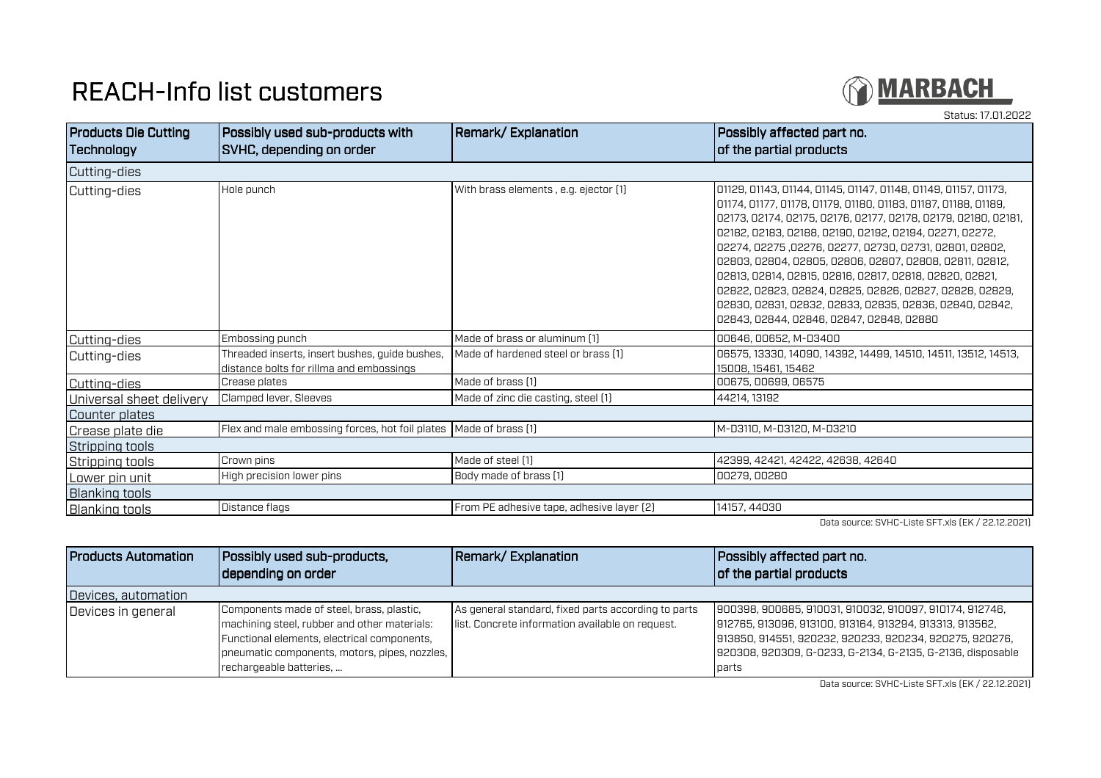## REACH-Info list customers



Status: 17.01.2022Products Die Cutting **Technology** Possibly used sub-products with SVHC, depending on orderRemark/ Explanation **Possibly affected part no.** of the partial products Cutting-dies Cutting-dies Hole punch With brass elements , e.g. ejector (1) 01129, 01143, 01144, 01145, 01147, 01148, 01149, 01157, 01173, 01174, 01177, 01178, 01179, 01180, 01183, 01187, 01188, 01189, 02173, 02174, 02175, 02176, 02177, 02178, 02179, 02180, 02181, 02182, 02183, 02188, 02190, 02192, 02194, 02271, 02272, 02274, 02275 ,02276, 02277, 02730, 02731, 02801, 02802, 02803, 02804, 02805, 02806, 02807, 02808, 02811, 02812, 02813, 02814, 02815, 02816, 02817, 02818, 02820, 02821, 02822, 02823, 02824, 02825, 02826, 02827, 02828, 02829, 02830, 02831, 02832, 02833, 02835, 02836, 02840, 02842, 02843, 02844, 02846, 02847, 02848, 02880Cutting-dies Embossing punch Made of brass or aluminum (1) 00646, 00652, M-D3400 Cutting-dies Threaded inserts, insert bushes, guide bushes, distance bolts for rillma and embossings06575, 13330, 14090, 14392, 14499, 14510, 14511, 13512, 14513, 15008, 15461, 1546200675, 00699, 06575 Cutting-dies Crease plates Made of brass (1) 00675, 00699, 06575 Universal sheet deliveryClamped lever, Sleeves **Made of zinc die casting, steel (1)** 44214, 13192 Counter plates Crease plate dieFlex and male embossing forces, hot foil plates Made of brass (1) Mac Domain Made of brass (1) M-D3110, M-D3120, M-D3210 Stripping tools Stripping toolsCrown pins (1990) and the Made of steel (1) the Made of steel (1) the Made of Steel (1) the Made of Drass (1) the Made of Drass (1) the Made of Drass (1) the Made of Drass (1) the Made of Drass (1) the Made of Drass (1) th Lower pin unitHigh precision lower pins Blanking tools Blanking toolsDistance flags From PE adhesive tape, adhesive layer (2) 214157, 44030

Data source: SVHC-Liste SFT.xls (EK / 22.12.2021)

| <b>Products Automation</b> | Possibly used sub-products,<br>depending on order                                                                                                                                                                    | Remark/Explanation                                                                                      | Possibly affected part no.<br>of the partial products                                                                                                                                                                                                |
|----------------------------|----------------------------------------------------------------------------------------------------------------------------------------------------------------------------------------------------------------------|---------------------------------------------------------------------------------------------------------|------------------------------------------------------------------------------------------------------------------------------------------------------------------------------------------------------------------------------------------------------|
| Devices, automation        |                                                                                                                                                                                                                      |                                                                                                         |                                                                                                                                                                                                                                                      |
| Devices in general         | Components made of steel, brass, plastic,<br>machining steel, rubber and other materials:<br>Functional elements, electrical components,<br>pneumatic components, motors, pipes, nozzles,<br>rechargeable batteries, | As general standard, fixed parts according to parts<br>list. Concrete information available on request. | 900398, 900685, 910031, 910032, 910097, 910174, 912746,<br>912765, 913096, 913100, 913164, 913294, 913313, 913562,<br>913850, 914551, 920232, 920233, 920234, 920275, 920276,<br>920308, 920309, G-0233, G-2134, G-2135, G-2136, disposable<br>parts |

Data source: SVHC-Liste SFT.xls (EK / 22.12.2021)